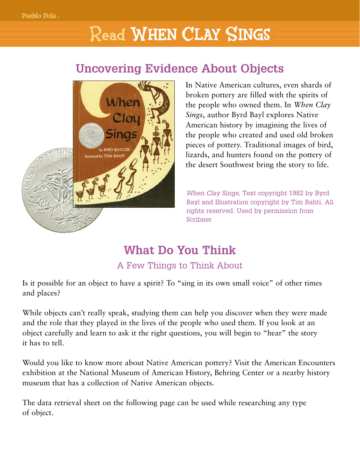# Read WHEN CLAY SINGS

#### **Uncovering Evidence About Objects**



In Native American cultures, even shards of broken pottery are filled with the spirits of the people who owned them. In *When Clay Sings*, author Byrd Bayl explores Native American history by imagining the lives of the people who created and used old broken pieces of pottery. Traditional images of bird, lizards, and hunters found on the pottery of the desert Southwest bring the story to life.

*When Clay Sings*, Text copyright 1982 by Byrd Bayl and Illustration copyright by Tim Bahti. All rights reserved. Used by permission from Scribner

## **What Do You Think**

#### A Few Things to Think About

Is it possible for an object to have a spirit? To "sing in its own small voice" of other times and places?

While objects can't really speak, studying them can help you discover when they were made and the role that they played in the lives of the people who used them. If you look at an object carefully and learn to ask it the right questions, you will begin to "hear" the story it has to tell.

Would you like to know more about Native American pottery? Visit the American Encounters exhibition at the National Museum of American History, Behring Center or a nearby history museum that has a collection of Native American objects.

The data retrieval sheet on the following page can be used while researching any type of object.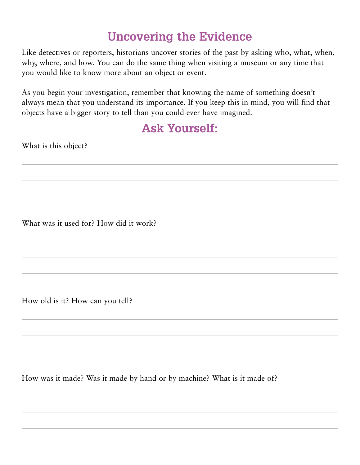#### **Uncovering the Evidence**

Like detectives or reporters, historians uncover stories of the past by asking who, what, when, why, where, and how. You can do the same thing when visiting a museum or any time that you would like to know more about an object or event.

As you begin your investigation, remember that knowing the name of something doesn't always mean that you understand its importance. If you keep this in mind, you will find that objects have a bigger story to tell than you could ever have imagined.

#### **Ask Yourself:**

What is this object?

What was it used for? How did it work?

How old is it? How can you tell?

How was it made? Was it made by hand or by machine? What is it made of?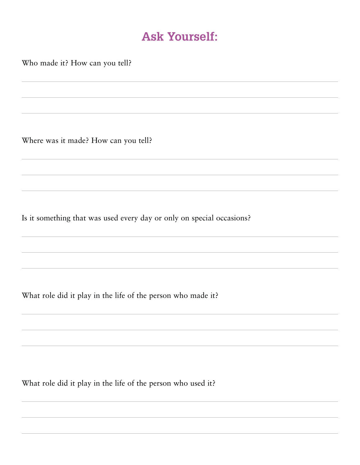#### **Ask Yourself:**

Who made it? How can you tell?

Where was it made? How can you tell?

Is it something that was used every day or only on special occasions?

What role did it play in the life of the person who made it?

What role did it play in the life of the person who used it?